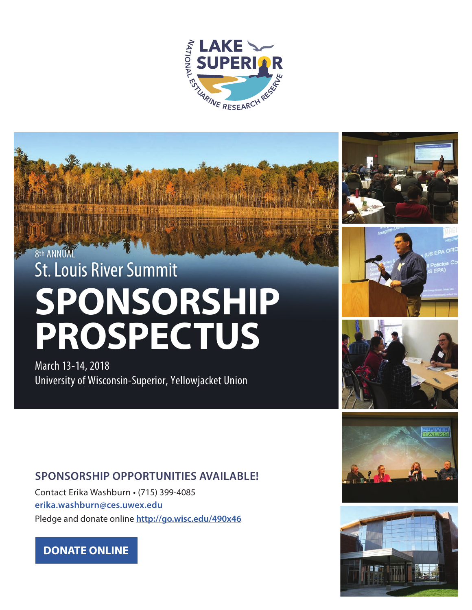

# 8th ANNUAL St. Louis River Summit **SPONSORSHIP PROSPECTUS**

March 13-14, 2018 University of Wisconsin-Superior, Yellowjacket Union









### **SPONSORSHIP OPPORTUNITIES AVAILABLE!**

Contact Erika Washburn • (715) 399-4085 **[erika.washburn@ces.uwex.edu](mailto:erika.washburn%40ces.uwex.edu?subject=2018%20St.%20Louis%20River%20Summit%20Sponsorship%20Opportunities)** Pledge and donate online **http://go.wisc.edu/490x46**

### **[DONATE ONLINE](http://go.wisc.edu/490x46)**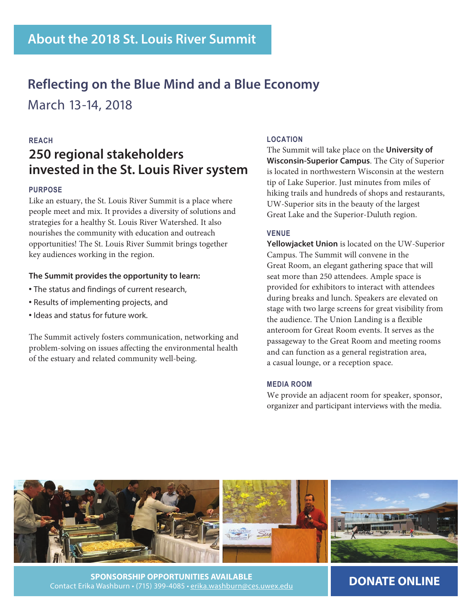# **Reflecting on the Blue Mind and a Blue Economy**

March 13-14, 2018

### **REACH**

## **250 regional stakeholders invested in the St. Louis River system**

### **PURPOSE**

Like an estuary, the St. Louis River Summit is a place where people meet and mix. It provides a diversity of solutions and strategies for a healthy St. Louis River Watershed. It also nourishes the community with education and outreach opportunities! The St. Louis River Summit brings together key audiences working in the region.

### **The Summit provides the opportunity to learn:**

- **•** The status and findings of current research,
- **•** Results of implementing projects, and
- **•** Ideas and status for future work.

The Summit actively fosters communication, networking and problem-solving on issues affecting the environmental health of the estuary and related community well-being.

### **LOCATION**

The Summit will take place on the **University of Wisconsin-Superior Campus**. The City of Superior is located in northwestern Wisconsin at the western tip of Lake Superior. Just minutes from miles of hiking trails and hundreds of shops and restaurants, UW-Superior sits in the beauty of the largest Great Lake and the Superior-Duluth region.

### **VENUE**

**Yellowjacket Union** is located on the UW-Superior Campus. The Summit will convene in the Great Room, an elegant gathering space that will seat more than 250 attendees. Ample space is provided for exhibitors to interact with attendees during breaks and lunch. Speakers are elevated on stage with two large screens for great visibility from the audience. The Union Landing is a flexible anteroom for Great Room events. It serves as the passageway to the Great Room and meeting rooms and can function as a general registration area, a casual lounge, or a reception space.

### **MEDIA ROOM**

We provide an adjacent room for speaker, sponsor, organizer and participant interviews with the media.



**SPONSORSHIP OPPORTUNITIES AVAILABLE** Contact Erika Washburn • (715) 399-4085 • [erika.washburn@ces.uwex.edu](mailto:erika.washburn%40ces.uwex.edu?subject=2018%20St.%20Louis%20River%20Summit%20Sponsorship%20Opportunities)

**[DONATE ONLINE](http://go.wisc.edu/490x46)**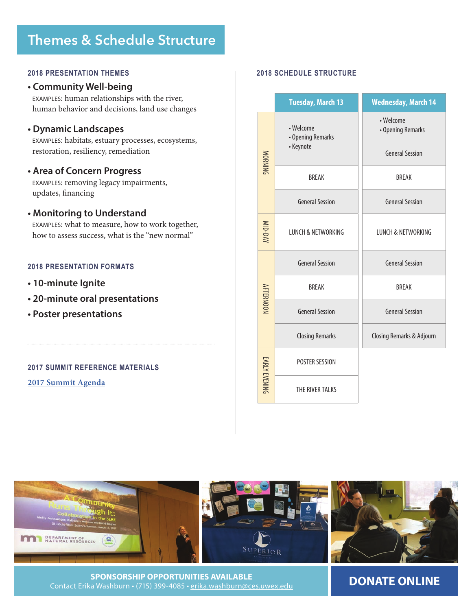# **Themes & Schedule Structure**

#### **2018 PRESENTATION THEMES 2018 SCHEDULE STRUCTURE**

#### **• Community Well-being**

EXAMPLES: human relationships with the river, human behavior and decisions, land use changes

### **• Dynamic Landscapes**

EXAMPLES: habitats, estuary processes, ecosystems, restoration, resiliency, remediation

### **• Area of Concern Progress**

EXAMPLES: removing legacy impairments, updates, financing

### **• Monitoring to Understand**

EXAMPLES: what to measure, how to work together, how to assess success, what is the "new normal"

### **2018 PRESENTATION FORMATS**

- **10-minute Ignite**
- **20-minute oral presentations**
- **Poster presentations**

**2017 SUMMIT REFERENCE MATERIALS [2017 Summit Agenda](https://erc.cals.wisc.edu/lakesuperiorreserve/files/2017/06/St-Louis-River-Summit-2017-Conference-Agenda.pdf)**

|                  | <b>Tuesday, March 13</b>       | <b>Wednesday, March 14</b>     |  |  |  |
|------------------|--------------------------------|--------------------------------|--|--|--|
| <b>MORNING</b>   | • Welcome<br>• Opening Remarks | • Welcome<br>• Opening Remarks |  |  |  |
|                  | • Keynote                      | <b>General Session</b>         |  |  |  |
|                  | <b>BREAK</b>                   | <b>BRFAK</b>                   |  |  |  |
|                  | <b>General Session</b>         | <b>General Session</b>         |  |  |  |
| MID-DAY          | <b>LUNCH &amp; NETWORKING</b>  | <b>LUNCH &amp; NETWORKING</b>  |  |  |  |
|                  | <b>General Session</b>         | <b>General Session</b>         |  |  |  |
| <b>AFTERNOON</b> | <b>BREAK</b>                   | <b>BREAK</b>                   |  |  |  |
|                  | <b>General Session</b>         | <b>General Session</b>         |  |  |  |
|                  | <b>Closing Remarks</b>         | Closing Remarks & Adjourn      |  |  |  |
|                  | POSTER SESSION                 |                                |  |  |  |
| EARLY EVENING    | THE RIVER TALKS                |                                |  |  |  |



**SPONSORSHIP OPPORTUNITIES AVAILABLE** Contact Erika Washburn • (715) 399-4085 • [erika.washburn@ces.uwex.edu](mailto:erika.washburn%40ces.uwex.edu?subject=2018%20St.%20Louis%20River%20Summit%20Sponsorship%20Opportunities)

### **[DONATE ONLINE](http://go.wisc.edu/490x46)**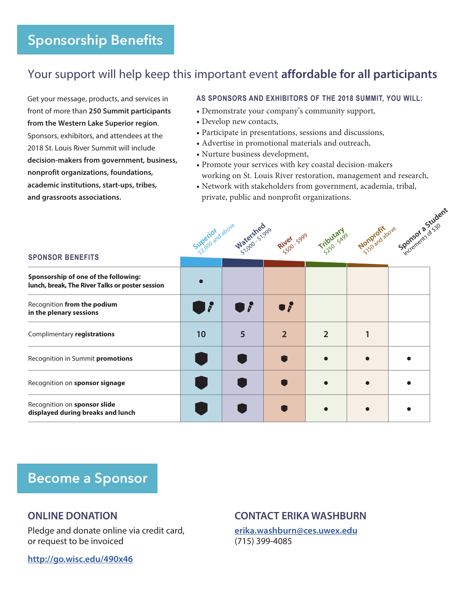## Your support will help keep this important event **affordable for all participants**

Get your message, products, and services in front of more than **250 Summit participants from the Western Lake Superior region**. Sponsors, exhibitors, and attendees at the 2018 St. Louis River Summit will include **decision-makers from government, business, nonprofit organizations, foundations, academic institutions, start-ups, tribes, and grassroots associations.**

### **AS SPONSORS AND EXHIBITORS OF THE 2018 SUMMIT, YOU WILL:**

- Demonstrate your company's community support,
- Develop new contacts,
- Participate in presentations, sessions and discussions,
- Advertise in promotional materials and outreach,
- Nurture business development,
- Promote your services with key coastal decision-makers working on St. Louis River restoration, management and research,
- Network with stakeholders from government, academia, tribal, private, public and nonprofit organizations.

|                                                                                         | Superior above<br><b>Watersheeps</b><br>River 5999 |                |                     | Sponsores & Student<br>Nonprofit above<br>Triputaryo |  |  |  |
|-----------------------------------------------------------------------------------------|----------------------------------------------------|----------------|---------------------|------------------------------------------------------|--|--|--|
| <b>SPONSOR BENEFITS</b>                                                                 |                                                    |                |                     |                                                      |  |  |  |
| Sponsorship of one of the following:<br>lunch, break, The River Talks or poster session |                                                    |                |                     |                                                      |  |  |  |
| Recognition from the podium<br>in the plenary sessions                                  | 7                                                  | $\overline{a}$ | $\bullet$ $\hat{r}$ |                                                      |  |  |  |
| Complimentary registrations                                                             | 10                                                 | 5              | $\overline{2}$      | $\overline{2}$                                       |  |  |  |
| Recognition in Summit promotions                                                        |                                                    |                |                     |                                                      |  |  |  |
| Recognition on sponsor signage                                                          |                                                    |                |                     |                                                      |  |  |  |
| Recognition on sponsor slide<br>displayed during breaks and lunch                       |                                                    |                |                     |                                                      |  |  |  |

# **Become a Sponsor**

### **ONLINE DONATION**

Pledge and donate online via credit card, or request to be invoiced

**<http://go.wisc.edu/490x46>**

### **CONTACT ERIKA WASHBURN**

**[erika.washburn@ces.uwex.edu](mailto:erika.washburn%40ces.uwex.edu?subject=2018%20St.%20Louis%20River%20Summit%20Sponsorship%20Opportunities)** (715) 399-4085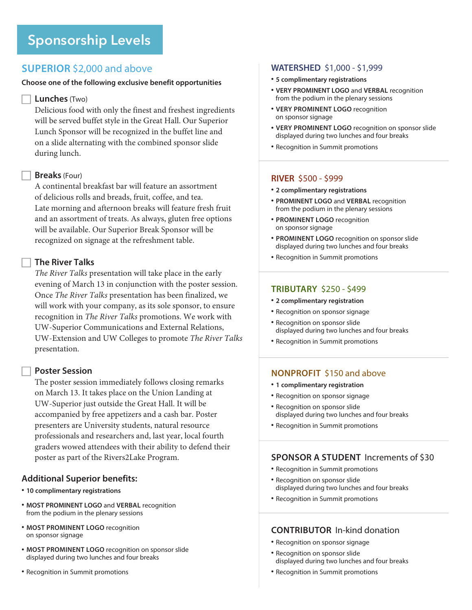### **SUPERIOR** \$2,000 and above

### **Choose one of the following exclusive benefit opportunities**

### **Lunches** (Two)

Delicious food with only the finest and freshest ingredients will be served buffet style in the Great Hall. Our Superior Lunch Sponsor will be recognized in the buffet line and on a slide alternating with the combined sponsor slide during lunch.

### **Breaks** (Four)

A continental breakfast bar will feature an assortment of delicious rolls and breads, fruit, coffee, and tea. Late morning and afternoon breaks will feature fresh fruit and an assortment of treats. As always, gluten free options will be available. Our Superior Break Sponsor will be recognized on signage at the refreshment table.

### **The River Talks**

*The River Talks* presentation will take place in the early evening of March 13 in conjunction with the poster session. Once *The River Talks* presentation has been finalized, we will work with your company, as its sole sponsor, to ensure recognition in *The River Talks* promotions. We work with UW-Superior Communications and External Relations, UW-Extension and UW Colleges to promote *The River Talks* presentation.

### **Poster Session**

The poster session immediately follows closing remarks on March 13. It takes place on the Union Landing at UW-Superior just outside the Great Hall. It will be accompanied by free appetizers and a cash bar. Poster presenters are University students, natural resource professionals and researchers and, last year, local fourth graders wowed attendees with their ability to defend their poster as part of the Rivers2Lake Program.

### **Additional Superior benefits:**

- **10 complimentary registrations**
- **MOST PROMINENT LOGO** and **VERBAL** recognition from the podium in the plenary sessions
- **MOST PROMINENT LOGO** recognition on sponsor signage
- **MOST PROMINENT LOGO** recognition on sponsor slide displayed during two lunches and four breaks
- Recognition in Summit promotions

### **WATERSHED** \$1,000 - \$1,999

- **5 complimentary registrations**
- **VERY PROMINENT LOGO** and **VERBAL** recognition from the podium in the plenary sessions
- **VERY PROMINENT LOGO** recognition on sponsor signage
- **VERY PROMINENT LOGO** recognition on sponsor slide displayed during two lunches and four breaks
- Recognition in Summit promotions

### **RIVER** \$500 - \$999

- **2 complimentary registrations**
- **PROMINENT LOGO** and **VERBAL** recognition from the podium in the plenary sessions
- **PROMINENT LOGO** recognition on sponsor signage
- **PROMINENT LOGO** recognition on sponsor slide displayed during two lunches and four breaks
- Recognition in Summit promotions

### **TRIBUTARY** \$250 - \$499

- **2 complimentary registration**
- Recognition on sponsor signage
- Recognition on sponsor slide displayed during two lunches and four breaks
- Recognition in Summit promotions

### **NONPROFIT** \$150 and above

- **1 complimentary registration**
- Recognition on sponsor signage
- Recognition on sponsor slide displayed during two lunches and four breaks
- Recognition in Summit promotions

### **SPONSOR A STUDENT** Increments of \$30

- Recognition in Summit promotions
- Recognition on sponsor slide displayed during two lunches and four breaks
- Recognition in Summit promotions

### **CONTRIBUTOR** In-kind donation

- Recognition on sponsor signage
- Recognition on sponsor slide displayed during two lunches and four breaks
- Recognition in Summit promotions